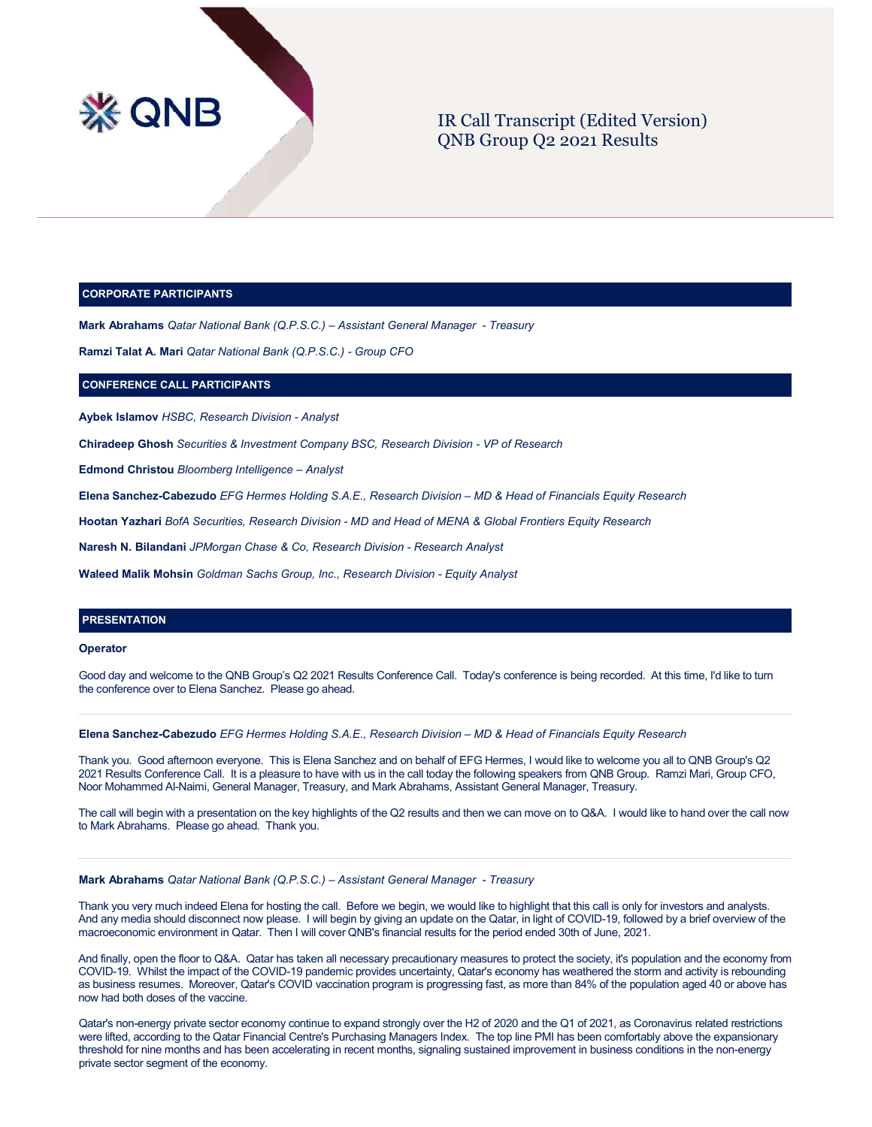

# IR Call Transcript (Edited Version) QNB Group Q2 2021 Results

#### **CORPORATE PARTICIPANTS**

**Mark Abrahams** *Qatar National Bank (Q.P.S.C.) – Assistant General Manager - Treasury*

**Ramzi Talat A. Mari** *Qatar National Bank (Q.P.S.C.) - Group CFO*

# **CONFERENCE CALL PARTICIPANTS**

**Aybek Islamov** *HSBC, Research Division - Analyst*

**Chiradeep Ghosh** *Securities & Investment Company BSC, Research Division - VP of Research*

**Edmond Christou** *Bloomberg Intelligence – Analyst*

**Elena Sanchez-Cabezudo** *EFG Hermes Holding S.A.E., Research Division – MD & Head of Financials Equity Research*

**Hootan Yazhari** *BofA Securities, Research Division - MD and Head of MENA & Global Frontiers Equity Research*

**Naresh N. Bilandani** *JPMorgan Chase & Co, Research Division - Research Analyst*

**Waleed Malik Mohsin** *Goldman Sachs Group, Inc., Research Division - Equity Analyst*

# **PRESENTATION**

#### **Operator**

Good day and welcome to the QNB Group's Q2 2021 Results Conference Call. Today's conference is being recorded. At this time, I'd like to turn the conference over to Elena Sanchez. Please go ahead.

#### **Elena Sanchez-Cabezudo** *EFG Hermes Holding S.A.E., Research Division – MD & Head of Financials Equity Research*

Thank you. Good afternoon everyone. This is Elena Sanchez and on behalf of EFG Hermes, I would like to welcome you all to QNB Group's Q2 2021 Results Conference Call. It is a pleasure to have with us in the call today the following speakers from QNB Group. Ramzi Mari, Group CFO, Noor Mohammed Al-Naimi, General Manager, Treasury, and Mark Abrahams, Assistant General Manager, Treasury.

The call will begin with a presentation on the key highlights of the Q2 results and then we can move on to Q&A. I would like to hand over the call now to Mark Abrahams. Please go ahead. Thank you.

#### **Mark Abrahams** *Qatar National Bank (Q.P.S.C.) – Assistant General Manager - Treasury*

Thank you very much indeed Elena for hosting the call. Before we begin, we would like to highlight that this call is only for investors and analysts. And any media should disconnect now please. I will begin by giving an update on the Qatar, in light of COVID-19, followed by a brief overview of the macroeconomic environment in Qatar. Then I will cover QNB's financial results for the period ended 30th of June, 2021.

And finally, open the floor to Q&A. Qatar has taken all necessary precautionary measures to protect the society, it's population and the economy from COVID-19. Whilst the impact of the COVID-19 pandemic provides uncertainty, Qatar's economy has weathered the storm and activity is rebounding as business resumes. Moreover, Qatar's COVID vaccination program is progressing fast, as more than 84% of the population aged 40 or above has now had both doses of the vaccine.

Qatar's non-energy private sector economy continue to expand strongly over the H2 of 2020 and the Q1 of 2021, as Coronavirus related restrictions were lifted, according to the Qatar Financial Centre's Purchasing Managers Index. The top line PMI has been comfortably above the expansionary threshold for nine months and has been accelerating in recent months, signaling sustained improvement in business conditions in the non-energy private sector segment of the economy.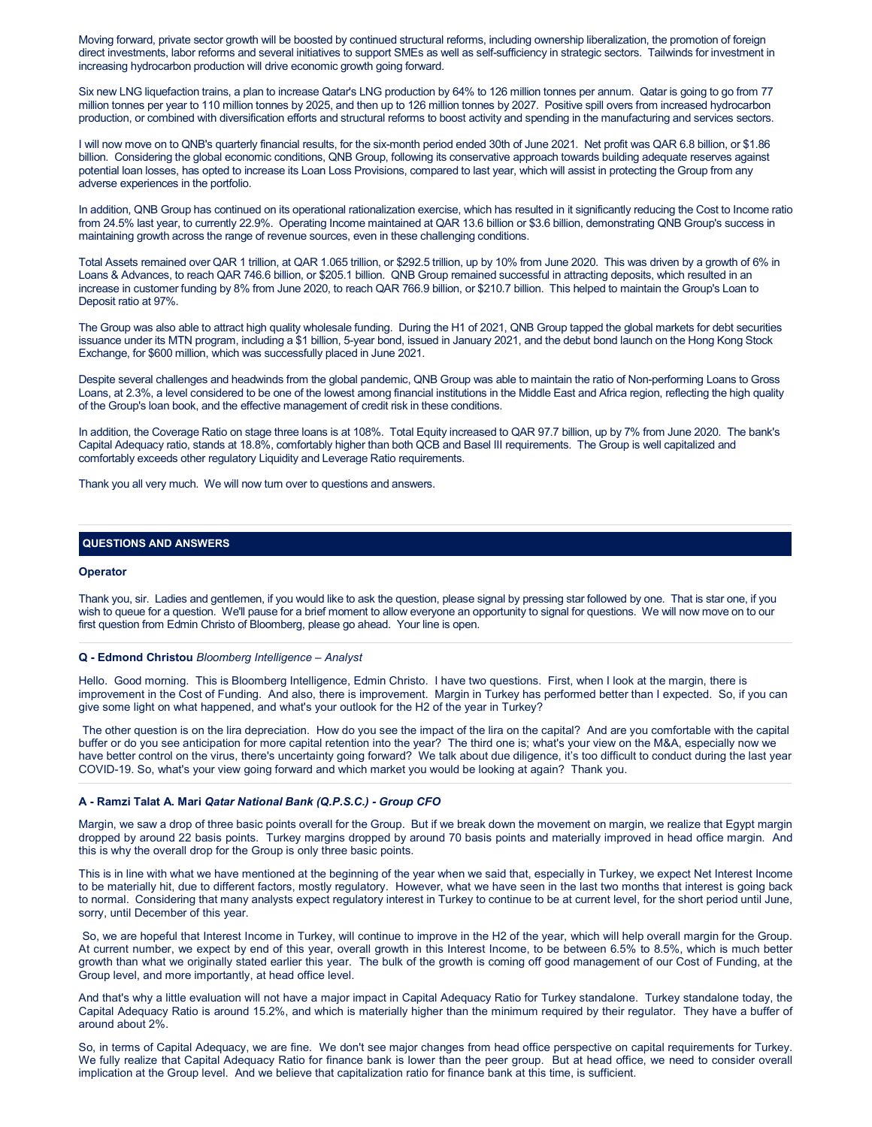Moving forward, private sector growth will be boosted by continued structural reforms, including ownership liberalization, the promotion of foreign direct investments, labor reforms and several initiatives to support SMEs as well as self-sufficiency in strategic sectors. Tailwinds for investment in increasing hydrocarbon production will drive economic growth going forward.

Six new LNG liquefaction trains, a plan to increase Qatar's LNG production by 64% to 126 million tonnes per annum. Qatar is going to go from 77 million tonnes per year to 110 million tonnes by 2025, and then up to 126 million tonnes by 2027. Positive spill overs from increased hydrocarbon production, or combined with diversification efforts and structural reforms to boost activity and spending in the manufacturing and services sectors.

I will now move on to QNB's quarterly financial results, for the six-month period ended 30th of June 2021. Net profit was QAR 6.8 billion, or \$1.86 billion. Considering the global economic conditions, QNB Group, following its conservative approach towards building adequate reserves against potential loan losses, has opted to increase its Loan Loss Provisions, compared to last year, which will assist in protecting the Group from any adverse experiences in the portfolio.

In addition, QNB Group has continued on its operational rationalization exercise, which has resulted in it significantly reducing the Cost to Income ratio from 24.5% last year, to currently 22.9%. Operating Income maintained at QAR 13.6 billion or \$3.6 billion, demonstrating QNB Group's success in maintaining growth across the range of revenue sources, even in these challenging conditions.

Total Assets remained over QAR 1 trillion, at QAR 1.065 trillion, or \$292.5 trillion, up by 10% from June 2020. This was driven by a growth of 6% in Loans & Advances, to reach QAR 746.6 billion, or \$205.1 billion. QNB Group remained successful in attracting deposits, which resulted in an increase in customer funding by 8% from June 2020, to reach QAR 766.9 billion, or \$210.7 billion. This helped to maintain the Group's Loan to Deposit ratio at 97%.

The Group was also able to attract high quality wholesale funding. During the H1 of 2021, QNB Group tapped the global markets for debt securities issuance under its MTN program, including a \$1 billion, 5-year bond, issued in January 2021, and the debut bond launch on the Hong Kong Stock Exchange, for \$600 million, which was successfully placed in June 2021.

Despite several challenges and headwinds from the global pandemic, QNB Group was able to maintain the ratio of Non-performing Loans to Gross Loans, at 2.3%, a level considered to be one of the lowest among financial institutions in the Middle East and Africa region, reflecting the high quality of the Group's loan book, and the effective management of credit risk in these conditions.

In addition, the Coverage Ratio on stage three loans is at 108%. Total Equity increased to QAR 97.7 billion, up by 7% from June 2020. The bank's Capital Adequacy ratio, stands at 18.8%, comfortably higher than both QCB and Basel III requirements. The Group is well capitalized and comfortably exceeds other regulatory Liquidity and Leverage Ratio requirements.

Thank you all very much. We will now turn over to questions and answers.

# **QUESTIONS AND ANSWERS**

# **Operator**

Thank you, sir. Ladies and gentlemen, if you would like to ask the question, please signal by pressing star followed by one. That is star one, if you wish to queue for a question. We'll pause for a brief moment to allow everyone an opportunity to signal for questions. We will now move on to our first question from Edmin Christo of Bloomberg, please go ahead. Your line is open.

# **Q - Edmond Christou** *Bloomberg Intelligence – Analyst*

Hello. Good morning. This is Bloomberg Intelligence, Edmin Christo. I have two questions. First, when I look at the margin, there is improvement in the Cost of Funding. And also, there is improvement. Margin in Turkey has performed better than I expected. So, if you can give some light on what happened, and what's your outlook for the H2 of the year in Turkey?

The other question is on the lira depreciation. How do you see the impact of the lira on the capital? And are you comfortable with the capital buffer or do you see anticipation for more capital retention into the year? The third one is; what's your view on the M&A, especially now we have better control on the virus, there's uncertainty going forward? We talk about due diligence, it's too difficult to conduct during the last year COVID-19. So, what's your view going forward and which market you would be looking at again? Thank you.

#### **A - Ramzi Talat A. Mari** *Qatar National Bank (Q.P.S.C.) - Group CFO*

Margin, we saw a drop of three basic points overall for the Group. But if we break down the movement on margin, we realize that Egypt margin dropped by around 22 basis points. Turkey margins dropped by around 70 basis points and materially improved in head office margin. And this is why the overall drop for the Group is only three basic points.

This is in line with what we have mentioned at the beginning of the year when we said that, especially in Turkey, we expect Net Interest Income to be materially hit, due to different factors, mostly regulatory. However, what we have seen in the last two months that interest is going back to normal. Considering that many analysts expect regulatory interest in Turkey to continue to be at current level, for the short period until June, sorry, until December of this year.

So, we are hopeful that Interest Income in Turkey, will continue to improve in the H2 of the year, which will help overall margin for the Group. At current number, we expect by end of this year, overall growth in this Interest Income, to be between 6.5% to 8.5%, which is much better growth than what we originally stated earlier this year. The bulk of the growth is coming off good management of our Cost of Funding, at the Group level, and more importantly, at head office level.

And that's why a little evaluation will not have a major impact in Capital Adequacy Ratio for Turkey standalone. Turkey standalone today, the Capital Adequacy Ratio is around 15.2%, and which is materially higher than the minimum required by their regulator. They have a buffer of around about 2%.

So, in terms of Capital Adequacy, we are fine. We don't see major changes from head office perspective on capital requirements for Turkey. We fully realize that Capital Adequacy Ratio for finance bank is lower than the peer group. But at head office, we need to consider overall implication at the Group level. And we believe that capitalization ratio for finance bank at this time, is sufficient.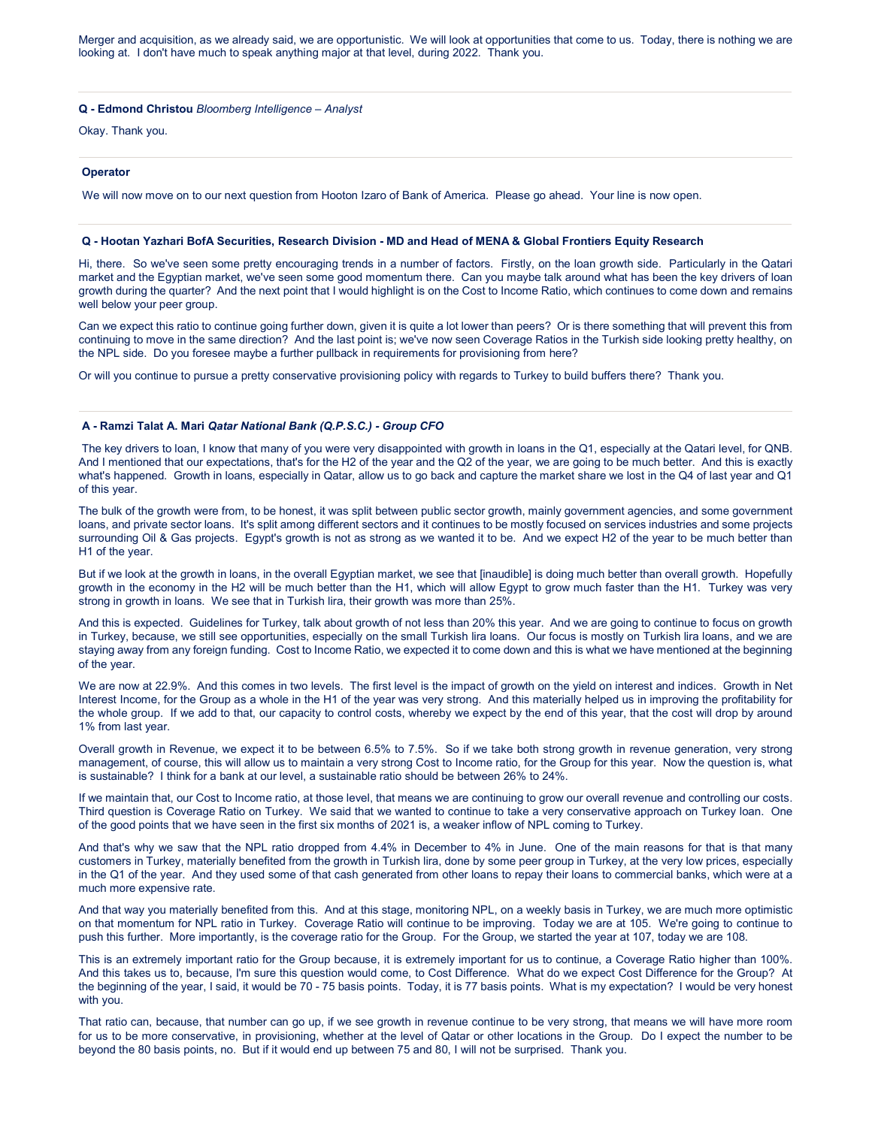Merger and acquisition, as we already said, we are opportunistic. We will look at opportunities that come to us. Today, there is nothing we are looking at. I don't have much to speak anything major at that level, during 2022. Thank you.

#### **Q - Edmond Christou** *Bloomberg Intelligence – Analyst*

Okay. Thank you.

#### **Operator**

We will now move on to our next question from Hooton Izaro of Bank of America. Please go ahead. Your line is now open.

# **Q - Hootan Yazhari BofA Securities, Research Division - MD and Head of MENA & Global Frontiers Equity Research**

Hi, there. So we've seen some pretty encouraging trends in a number of factors. Firstly, on the loan growth side. Particularly in the Qatari market and the Egyptian market, we've seen some good momentum there. Can you maybe talk around what has been the key drivers of loan growth during the quarter? And the next point that I would highlight is on the Cost to Income Ratio, which continues to come down and remains well below your peer group.

Can we expect this ratio to continue going further down, given it is quite a lot lower than peers? Or is there something that will prevent this from continuing to move in the same direction? And the last point is; we've now seen Coverage Ratios in the Turkish side looking pretty healthy, on the NPL side. Do you foresee maybe a further pullback in requirements for provisioning from here?

Or will you continue to pursue a pretty conservative provisioning policy with regards to Turkey to build buffers there? Thank you.

# **A - Ramzi Talat A. Mari** *Qatar National Bank (Q.P.S.C.) - Group CFO*

The key drivers to loan, I know that many of you were very disappointed with growth in loans in the Q1, especially at the Qatari level, for QNB. And I mentioned that our expectations, that's for the H2 of the year and the Q2 of the year, we are going to be much better. And this is exactly what's happened. Growth in loans, especially in Qatar, allow us to go back and capture the market share we lost in the Q4 of last year and Q1 of this year.

The bulk of the growth were from, to be honest, it was split between public sector growth, mainly government agencies, and some government loans, and private sector loans. It's split among different sectors and it continues to be mostly focused on services industries and some projects surrounding Oil & Gas projects. Egypt's growth is not as strong as we wanted it to be. And we expect H2 of the year to be much better than H1 of the year.

But if we look at the growth in loans, in the overall Egyptian market, we see that [inaudible] is doing much better than overall growth. Hopefully growth in the economy in the H2 will be much better than the H1, which will allow Egypt to grow much faster than the H1. Turkey was very strong in growth in loans. We see that in Turkish lira, their growth was more than 25%.

And this is expected. Guidelines for Turkey, talk about growth of not less than 20% this year. And we are going to continue to focus on growth in Turkey, because, we still see opportunities, especially on the small Turkish lira loans. Our focus is mostly on Turkish lira loans, and we are staying away from any foreign funding. Cost to Income Ratio, we expected it to come down and this is what we have mentioned at the beginning of the year.

We are now at 22.9%. And this comes in two levels. The first level is the impact of growth on the yield on interest and indices. Growth in Net Interest Income, for the Group as a whole in the H1 of the year was very strong. And this materially helped us in improving the profitability for the whole group. If we add to that, our capacity to control costs, whereby we expect by the end of this year, that the cost will drop by around 1% from last year.

Overall growth in Revenue, we expect it to be between 6.5% to 7.5%. So if we take both strong growth in revenue generation, very strong management, of course, this will allow us to maintain a very strong Cost to Income ratio, for the Group for this year. Now the question is, what is sustainable? I think for a bank at our level, a sustainable ratio should be between 26% to 24%.

If we maintain that, our Cost to Income ratio, at those level, that means we are continuing to grow our overall revenue and controlling our costs. Third question is Coverage Ratio on Turkey. We said that we wanted to continue to take a very conservative approach on Turkey loan. One of the good points that we have seen in the first six months of 2021 is, a weaker inflow of NPL coming to Turkey.

And that's why we saw that the NPL ratio dropped from 4.4% in December to 4% in June. One of the main reasons for that is that many customers in Turkey, materially benefited from the growth in Turkish lira, done by some peer group in Turkey, at the very low prices, especially in the Q1 of the year. And they used some of that cash generated from other loans to repay their loans to commercial banks, which were at a much more expensive rate.

And that way you materially benefited from this. And at this stage, monitoring NPL, on a weekly basis in Turkey, we are much more optimistic on that momentum for NPL ratio in Turkey. Coverage Ratio will continue to be improving. Today we are at 105. We're going to continue to push this further. More importantly, is the coverage ratio for the Group. For the Group, we started the year at 107, today we are 108.

This is an extremely important ratio for the Group because, it is extremely important for us to continue, a Coverage Ratio higher than 100%. And this takes us to, because, I'm sure this question would come, to Cost Difference. What do we expect Cost Difference for the Group? At the beginning of the year, I said, it would be 70 - 75 basis points. Today, it is 77 basis points. What is my expectation? I would be very honest with you.

That ratio can, because, that number can go up, if we see growth in revenue continue to be very strong, that means we will have more room for us to be more conservative, in provisioning, whether at the level of Qatar or other locations in the Group. Do I expect the number to be beyond the 80 basis points, no. But if it would end up between 75 and 80, I will not be surprised. Thank you.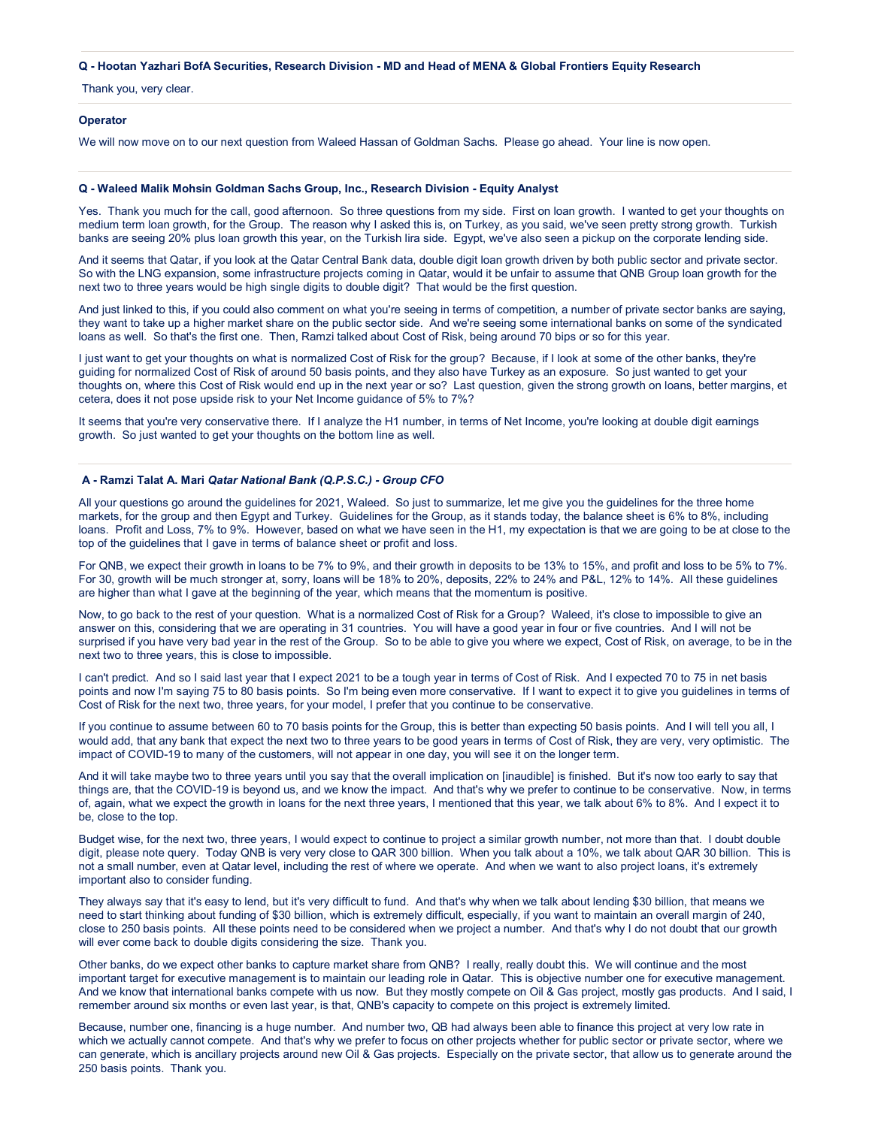## **Q - Hootan Yazhari BofA Securities, Research Division - MD and Head of MENA & Global Frontiers Equity Research**

Thank you, very clear.

#### **Operator**

We will now move on to our next question from Waleed Hassan of Goldman Sachs. Please go ahead. Your line is now open.

# **Q - Waleed Malik Mohsin Goldman Sachs Group, Inc., Research Division - Equity Analyst**

Yes. Thank you much for the call, good afternoon. So three questions from my side. First on loan growth. I wanted to get your thoughts on medium term loan growth, for the Group. The reason why I asked this is, on Turkey, as you said, we've seen pretty strong growth. Turkish banks are seeing 20% plus loan growth this year, on the Turkish lira side. Egypt, we've also seen a pickup on the corporate lending side.

And it seems that Qatar, if you look at the Qatar Central Bank data, double digit loan growth driven by both public sector and private sector. So with the LNG expansion, some infrastructure projects coming in Qatar, would it be unfair to assume that QNB Group loan growth for the next two to three years would be high single digits to double digit? That would be the first question.

And just linked to this, if you could also comment on what you're seeing in terms of competition, a number of private sector banks are saying, they want to take up a higher market share on the public sector side. And we're seeing some international banks on some of the syndicated loans as well. So that's the first one. Then, Ramzi talked about Cost of Risk, being around 70 bips or so for this year.

I just want to get your thoughts on what is normalized Cost of Risk for the group? Because, if I look at some of the other banks, they're guiding for normalized Cost of Risk of around 50 basis points, and they also have Turkey as an exposure. So just wanted to get your thoughts on, where this Cost of Risk would end up in the next year or so? Last question, given the strong growth on loans, better margins, et cetera, does it not pose upside risk to your Net Income guidance of 5% to 7%?

It seems that you're very conservative there. If I analyze the H1 number, in terms of Net Income, you're looking at double digit earnings growth. So just wanted to get your thoughts on the bottom line as well.

#### **A - Ramzi Talat A. Mari** *Qatar National Bank (Q.P.S.C.) - Group CFO*

All your questions go around the guidelines for 2021, Waleed. So just to summarize, let me give you the guidelines for the three home markets, for the group and then Egypt and Turkey. Guidelines for the Group, as it stands today, the balance sheet is 6% to 8%, including loans. Profit and Loss, 7% to 9%. However, based on what we have seen in the H1, my expectation is that we are going to be at close to the top of the guidelines that I gave in terms of balance sheet or profit and loss.

For QNB, we expect their growth in loans to be 7% to 9%, and their growth in deposits to be 13% to 15%, and profit and loss to be 5% to 7%. For 30, growth will be much stronger at, sorry, loans will be 18% to 20%, deposits, 22% to 24% and P&L, 12% to 14%. All these guidelines are higher than what I gave at the beginning of the year, which means that the momentum is positive.

Now, to go back to the rest of your question. What is a normalized Cost of Risk for a Group? Waleed, it's close to impossible to give an answer on this, considering that we are operating in 31 countries. You will have a good year in four or five countries. And I will not be surprised if you have very bad year in the rest of the Group. So to be able to give you where we expect, Cost of Risk, on average, to be in the next two to three years, this is close to impossible.

I can't predict. And so I said last year that I expect 2021 to be a tough year in terms of Cost of Risk. And I expected 70 to 75 in net basis points and now I'm saying 75 to 80 basis points. So I'm being even more conservative. If I want to expect it to give you guidelines in terms of Cost of Risk for the next two, three years, for your model, I prefer that you continue to be conservative.

If you continue to assume between 60 to 70 basis points for the Group, this is better than expecting 50 basis points. And I will tell you all, I would add, that any bank that expect the next two to three years to be good years in terms of Cost of Risk, they are very, very optimistic. The impact of COVID-19 to many of the customers, will not appear in one day, you will see it on the longer term.

And it will take maybe two to three years until you say that the overall implication on [inaudible] is finished. But it's now too early to say that things are, that the COVID-19 is beyond us, and we know the impact. And that's why we prefer to continue to be conservative. Now, in terms of, again, what we expect the growth in loans for the next three years, I mentioned that this year, we talk about 6% to 8%. And I expect it to be, close to the top.

Budget wise, for the next two, three years, I would expect to continue to project a similar growth number, not more than that. I doubt double digit, please note query. Today QNB is very very close to QAR 300 billion. When you talk about a 10%, we talk about QAR 30 billion. This is not a small number, even at Qatar level, including the rest of where we operate. And when we want to also project loans, it's extremely important also to consider funding.

They always say that it's easy to lend, but it's very difficult to fund. And that's why when we talk about lending \$30 billion, that means we need to start thinking about funding of \$30 billion, which is extremely difficult, especially, if you want to maintain an overall margin of 240, close to 250 basis points. All these points need to be considered when we project a number. And that's why I do not doubt that our growth will ever come back to double digits considering the size. Thank you.

Other banks, do we expect other banks to capture market share from QNB? I really, really doubt this. We will continue and the most important target for executive management is to maintain our leading role in Qatar. This is objective number one for executive management. And we know that international banks compete with us now. But they mostly compete on Oil & Gas project, mostly gas products. And I said, I remember around six months or even last year, is that, QNB's capacity to compete on this project is extremely limited.

Because, number one, financing is a huge number. And number two, QB had always been able to finance this project at very low rate in which we actually cannot compete. And that's why we prefer to focus on other projects whether for public sector or private sector, where we can generate, which is ancillary projects around new Oil & Gas projects. Especially on the private sector, that allow us to generate around the 250 basis points. Thank you.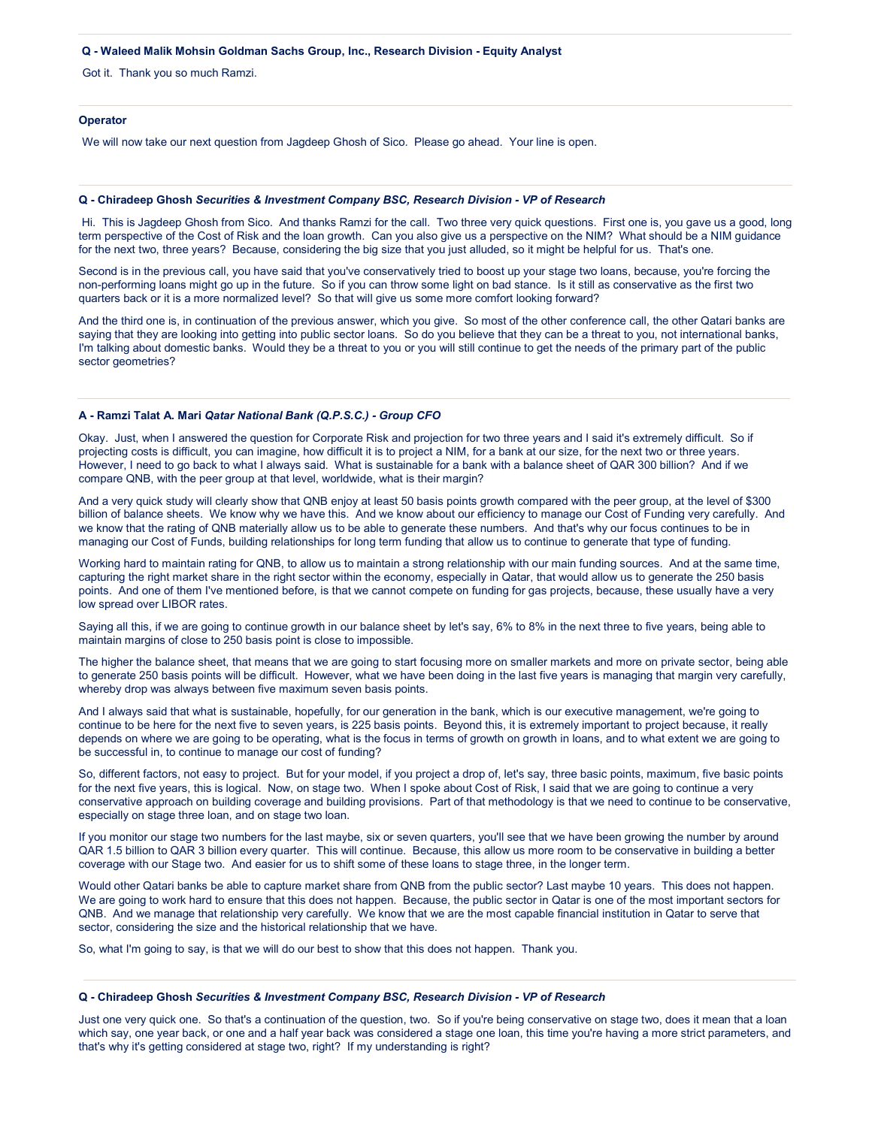#### **Q - Waleed Malik Mohsin Goldman Sachs Group, Inc., Research Division - Equity Analyst**

Got it. Thank you so much Ramzi.

# **Operator**

We will now take our next question from Jagdeep Ghosh of Sico. Please go ahead. Your line is open.

#### **Q - Chiradeep Ghosh** *Securities & Investment Company BSC, Research Division - VP of Research*

Hi. This is Jagdeep Ghosh from Sico. And thanks Ramzi for the call. Two three very quick questions. First one is, you gave us a good, long term perspective of the Cost of Risk and the loan growth. Can you also give us a perspective on the NIM? What should be a NIM guidance for the next two, three years? Because, considering the big size that you just alluded, so it might be helpful for us. That's one.

Second is in the previous call, you have said that you've conservatively tried to boost up your stage two loans, because, you're forcing the non-performing loans might go up in the future. So if you can throw some light on bad stance. Is it still as conservative as the first two quarters back or it is a more normalized level? So that will give us some more comfort looking forward?

And the third one is, in continuation of the previous answer, which you give. So most of the other conference call, the other Qatari banks are saying that they are looking into getting into public sector loans. So do you believe that they can be a threat to you, not international banks, I'm talking about domestic banks. Would they be a threat to you or you will still continue to get the needs of the primary part of the public sector geometries?

#### **A - Ramzi Talat A. Mari** *Qatar National Bank (Q.P.S.C.) - Group CFO*

Okay. Just, when I answered the question for Corporate Risk and projection for two three years and I said it's extremely difficult. So if projecting costs is difficult, you can imagine, how difficult it is to project a NIM, for a bank at our size, for the next two or three years. However, I need to go back to what I always said. What is sustainable for a bank with a balance sheet of QAR 300 billion? And if we compare QNB, with the peer group at that level, worldwide, what is their margin?

And a very quick study will clearly show that QNB enjoy at least 50 basis points growth compared with the peer group, at the level of \$300 billion of balance sheets. We know why we have this. And we know about our efficiency to manage our Cost of Funding very carefully. And we know that the rating of QNB materially allow us to be able to generate these numbers. And that's why our focus continues to be in managing our Cost of Funds, building relationships for long term funding that allow us to continue to generate that type of funding.

Working hard to maintain rating for QNB, to allow us to maintain a strong relationship with our main funding sources. And at the same time, capturing the right market share in the right sector within the economy, especially in Qatar, that would allow us to generate the 250 basis points. And one of them I've mentioned before, is that we cannot compete on funding for gas projects, because, these usually have a very low spread over LIBOR rates.

Saying all this, if we are going to continue growth in our balance sheet by let's say, 6% to 8% in the next three to five years, being able to maintain margins of close to 250 basis point is close to impossible.

The higher the balance sheet, that means that we are going to start focusing more on smaller markets and more on private sector, being able to generate 250 basis points will be difficult. However, what we have been doing in the last five years is managing that margin very carefully, whereby drop was always between five maximum seven basis points.

And I always said that what is sustainable, hopefully, for our generation in the bank, which is our executive management, we're going to continue to be here for the next five to seven years, is 225 basis points. Beyond this, it is extremely important to project because, it really depends on where we are going to be operating, what is the focus in terms of growth on growth in loans, and to what extent we are going to be successful in, to continue to manage our cost of funding?

So, different factors, not easy to project. But for your model, if you project a drop of, let's say, three basic points, maximum, five basic points for the next five years, this is logical. Now, on stage two. When I spoke about Cost of Risk, I said that we are going to continue a very conservative approach on building coverage and building provisions. Part of that methodology is that we need to continue to be conservative, especially on stage three loan, and on stage two loan.

If you monitor our stage two numbers for the last maybe, six or seven quarters, you'll see that we have been growing the number by around QAR 1.5 billion to QAR 3 billion every quarter. This will continue. Because, this allow us more room to be conservative in building a better coverage with our Stage two. And easier for us to shift some of these loans to stage three, in the longer term.

Would other Qatari banks be able to capture market share from QNB from the public sector? Last maybe 10 years. This does not happen. We are going to work hard to ensure that this does not happen. Because, the public sector in Qatar is one of the most important sectors for QNB. And we manage that relationship very carefully. We know that we are the most capable financial institution in Qatar to serve that sector, considering the size and the historical relationship that we have.

So, what I'm going to say, is that we will do our best to show that this does not happen. Thank you.

# **Q - Chiradeep Ghosh** *Securities & Investment Company BSC, Research Division - VP of Research*

Just one very quick one. So that's a continuation of the question, two. So if you're being conservative on stage two, does it mean that a loan which say, one year back, or one and a half year back was considered a stage one loan, this time you're having a more strict parameters, and that's why it's getting considered at stage two, right? If my understanding is right?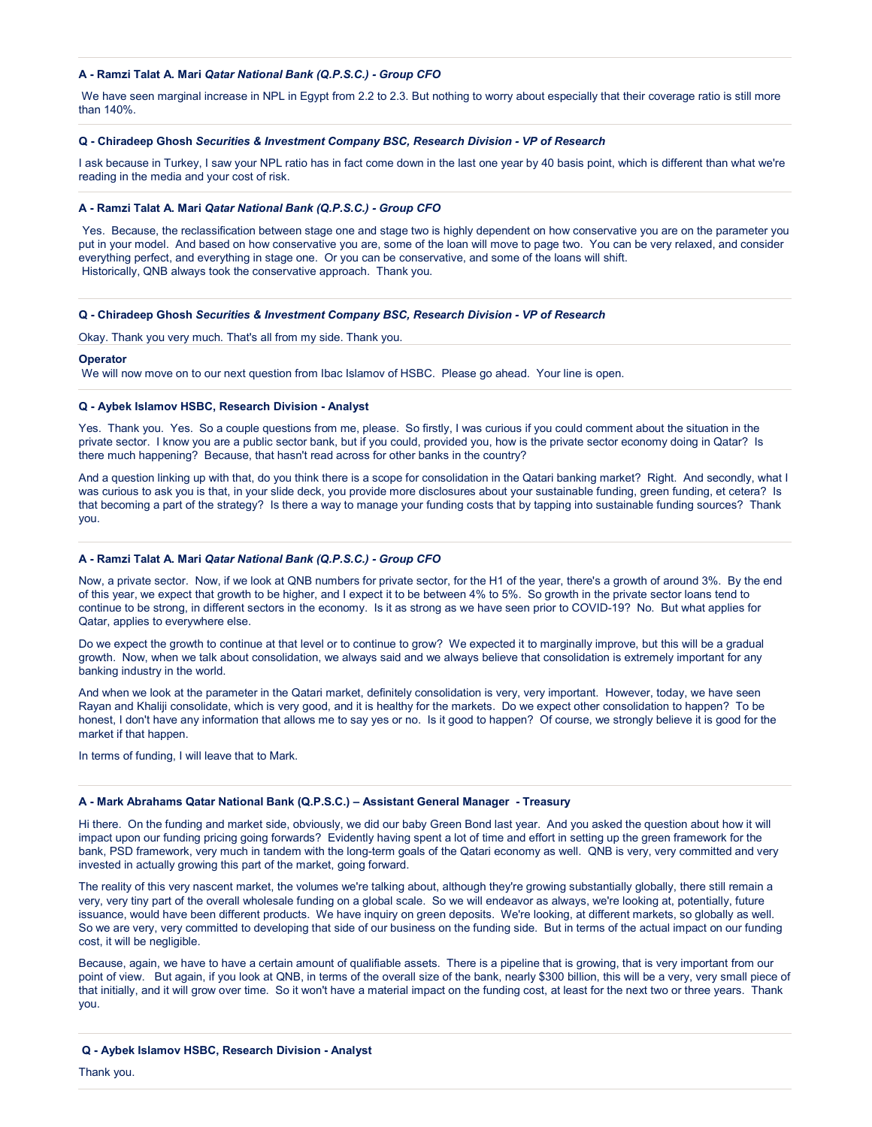# **A - Ramzi Talat A. Mari** *Qatar National Bank (Q.P.S.C.) - Group CFO*

We have seen marginal increase in NPL in Egypt from 2.2 to 2.3. But nothing to worry about especially that their coverage ratio is still more than 140%.

# **Q - Chiradeep Ghosh** *Securities & Investment Company BSC, Research Division - VP of Research*

I ask because in Turkey, I saw your NPL ratio has in fact come down in the last one year by 40 basis point, which is different than what we're reading in the media and your cost of risk.

# **A - Ramzi Talat A. Mari** *Qatar National Bank (Q.P.S.C.) - Group CFO*

Yes. Because, the reclassification between stage one and stage two is highly dependent on how conservative you are on the parameter you put in your model. And based on how conservative you are, some of the loan will move to page two. You can be very relaxed, and consider everything perfect, and everything in stage one. Or you can be conservative, and some of the loans will shift. Historically, QNB always took the conservative approach. Thank you.

# **Q - Chiradeep Ghosh** *Securities & Investment Company BSC, Research Division - VP of Research*

Okay. Thank you very much. That's all from my side. Thank you.

#### **Operator**

We will now move on to our next question from Ibac Islamov of HSBC. Please go ahead. Your line is open.

#### **Q - Aybek Islamov HSBC, Research Division - Analyst**

Yes. Thank you. Yes. So a couple questions from me, please. So firstly, I was curious if you could comment about the situation in the private sector. I know you are a public sector bank, but if you could, provided you, how is the private sector economy doing in Qatar? Is there much happening? Because, that hasn't read across for other banks in the country?

And a question linking up with that, do you think there is a scope for consolidation in the Qatari banking market? Right. And secondly, what I was curious to ask you is that, in your slide deck, you provide more disclosures about your sustainable funding, green funding, et cetera? Is that becoming a part of the strategy? Is there a way to manage your funding costs that by tapping into sustainable funding sources? Thank you.

## **A - Ramzi Talat A. Mari** *Qatar National Bank (Q.P.S.C.) - Group CFO*

Now, a private sector. Now, if we look at QNB numbers for private sector, for the H1 of the year, there's a growth of around 3%. By the end of this year, we expect that growth to be higher, and I expect it to be between 4% to 5%. So growth in the private sector loans tend to continue to be strong, in different sectors in the economy. Is it as strong as we have seen prior to COVID-19? No. But what applies for Qatar, applies to everywhere else.

Do we expect the growth to continue at that level or to continue to grow? We expected it to marginally improve, but this will be a gradual growth. Now, when we talk about consolidation, we always said and we always believe that consolidation is extremely important for any banking industry in the world.

And when we look at the parameter in the Qatari market, definitely consolidation is very, very important. However, today, we have seen Rayan and Khaliji consolidate, which is very good, and it is healthy for the markets. Do we expect other consolidation to happen? To be honest, I don't have any information that allows me to say yes or no. Is it good to happen? Of course, we strongly believe it is good for the market if that happen.

In terms of funding, I will leave that to Mark.

#### **A - Mark Abrahams Qatar National Bank (Q.P.S.C.) – Assistant General Manager - Treasury**

Hi there. On the funding and market side, obviously, we did our baby Green Bond last year. And you asked the question about how it will impact upon our funding pricing going forwards? Evidently having spent a lot of time and effort in setting up the green framework for the bank, PSD framework, very much in tandem with the long-term goals of the Qatari economy as well. QNB is very, very committed and very invested in actually growing this part of the market, going forward.

The reality of this very nascent market, the volumes we're talking about, although they're growing substantially globally, there still remain a very, very tiny part of the overall wholesale funding on a global scale. So we will endeavor as always, we're looking at, potentially, future issuance, would have been different products. We have inquiry on green deposits. We're looking, at different markets, so globally as well. So we are very, very committed to developing that side of our business on the funding side. But in terms of the actual impact on our funding cost, it will be negligible.

Because, again, we have to have a certain amount of qualifiable assets. There is a pipeline that is growing, that is very important from our point of view. But again, if you look at QNB, in terms of the overall size of the bank, nearly \$300 billion, this will be a very, very small piece of that initially, and it will grow over time. So it won't have a material impact on the funding cost, at least for the next two or three years. Thank you.

#### **Q - Aybek Islamov HSBC, Research Division - Analyst**

Thank you.